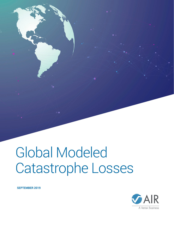# Global Modeled Catastrophe Losses

**SEPTEMBER 2019**



A Verisk Business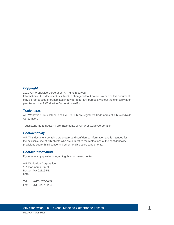### *Copyright*

2019 AIR Worldwide Corporation. All rights reserved.

Information in this document is subject to change without notice. No part of this document may be reproduced or transmitted in any form, for any purpose, without the express written permission of AIR Worldwide Corporation (AIR).

#### *Trademarks*

AIR Worldwide, Touchstone, and CATRADER are registered trademarks of AIR Worldwide Corporation.

Touchstone Re and ALERT are trademarks of AIR Worldwide Corporation.

#### *Confidentiality*

AIR This document contains proprietary and confidential information and is intended for the exclusive use of AIR clients who are subject to the restrictions of the confidentiality provisions set forth in license and other nondisclosure agreements.

#### *Contact Information*

If you have any questions regarding this document, contact:

AIR Worldwide Corporation 131 Dartmouth Street Boston, MA 02116-5134 USA

Tel: (617) 267-6645 Fax: (617) 267-8284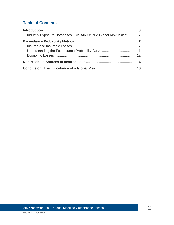### **Table of Contents**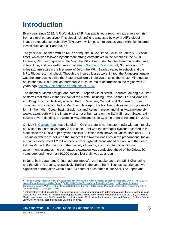# <span id="page-3-0"></span>**Introduction**

Every year since 2012, AIR Worldwide (AIR) has published a report on extreme event risk from a global perspective.<sup>1</sup> This global risk profile is assessed by way of AIR's global industry exceedance probability (EP) curve, which puts into context years with high insured losses such as  $2011$  and  $2017<sup>2</sup>$ 

The year 2019 opened with an M6.7 earthquake in Coquimbo, Chile, on January 19 (local time), which was followed by four more strong earthquakes in the Americas: the M8.0 Lagunas, Peru, earthquake in late May; the M6.2 Aserrio de Gariche, Panama, earthquake, in late June; and two earthquakes that [struck Southern California](https://www.air-worldwide.com/Blog/Two-Powerful-California-Earthquakes%e2%80%94Another-Wake-Up-Call/) only 34 hours and ~7 miles (11 km) apart in the first week of July—the M6.4 Searles Valley foreshock and the M7.1 Ridgecrest mainshock. Though the insured losses were limited, the Ridgecrest quake was the strongest to strike the State of California in 20 years, since the Hector Mine quake of October 16, 1999. The last earthquake to cause major destruction in the region was 25 years ago, [the M6.7 Northridge earthquake of 1994.](https://www.air-worldwide.com/Models/Earthquake/25-Years-Later%E2%80%94What-If-the-M6-7-Northridge-Earthquake-Were-to-Strike-Again-/)

The month of March brought one notable European winter storm, Eberhard, among a cluster of storms that struck in the first half of the month, including Freya/Bennet, Laura/Cornelius, and Dragi, which collectively affected the UK, Western, Central, and Northern European countries. In the second half of March and late April, the first two of three record cyclones to form in the Indian Ocean basin struck: Idai and Kenneth made landfall in Mozambique six weeks apart, both with the intensity of a major hurricane on the Saffir-Simpson Scale. Idai caused severe flooding, the worst in Mozambique since Cyclone Leon-Eline struck in 2000.

On May 3, [Cyclone Fani](https://www.air-worldwide.com/Blog/Why-Is-India-s-East-Coast-Tropical-Cyclone-Prone-/) made landfall in Odisha state in northeastern India with an intensity equivalent to a strong Category 3 hurricane. Fani was the strongest cyclone recorded in the state since the Orissa super cyclone of 1999 (Odisha was known as Orissa state until 2011). The major difference between the impact of the two cyclones lies in the preparations: Indian authorities evacuated 1.2 million people from high-risk areas ahead of Fani, and the death toll was 64, with Puri recording the majority of deaths, according to official Odisha government estimates; no such mass evacuation was conducted ahead of the Orissa 20 years ago, and more than 10,000 people lost their lives as a result.

In June, both Japan and China had one impactful earthquake each: the M5.8 Changning and the M6.4 Tsuruoka, respectively. Earlier in the year, the Philippines experienced two significant earthquakes within about 24 hours of each other in late April. The Japan and

AIR Worldwide: 2019 Global Modeled Catastrophe Losses  $3$ 

<sup>&</sup>lt;sup>1</sup> ["Taking a Comprehensive View of Catastrophe Risk Worldwide: AIR's Global Exceedance Probability Curve,"](http://www.air-worldwide.com/Publications/AIR-Currents/2012/Taking-A-Comprehensive-View-of-Catastrophe-Risk-Worldwide/) "AIR's 2013 [Global Exceedance Probability Curve,"](http://www.air-worldwide.com/publications/white-papers/documents/air-s-2013-global-exceedance-probability-curve), ["AIR's 2014 Global Exceedance Probability Curve,"](http://www.air-worldwide.com/Publications/White-Papers/documents/AIR-s-2014-Global-Exceedance-Probability-Curve/) ["2015 Global Modeled](http://www.air-worldwide.com/publications/white-papers/documents/2015-global-modeled-catastrophe-losses)  [Catastrophe Losses,](http://www.air-worldwide.com/publications/white-papers/documents/2015-global-modeled-catastrophe-losses)" "2016 [Global Modeled Catastrophe Losses,"](http://www.air-worldwide.com/publications/white-papers/documents/2016-global-modeled--catastrophe-losses) ["2017 Global Modeled Catastrophe Losses,](http://www.air-worldwide.com/publications/white-papers/documents/2017-global-modeled-catastrophe-losses)" and ["2018](https://www.air-worldwide.com/publications/white-papers/documents/2018-global-modeled-catastrophe-losses)  [Global Modeled Catastrophe Losses."](https://www.air-worldwide.com/publications/white-papers/documents/2018-global-modeled-catastrophe-losses)

 $2$  Catastrophes in 2011 include the Tohoku earthquake in Japan, major severe thunderstorms across the U.S., earthquakes in New Zealand, and floods in Thailand; catastrophes in 2017 include major severe thunderstorms across the U.S., HIM events, Mexico earthquakes, and California wildfires; catastrophes in 2018 include hurricanes Michael and Florence, Typhoon Jebi in Japan, the Western Japan Floods, and California wildfires.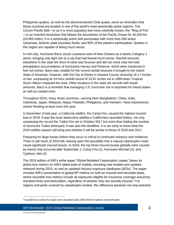Philippines quakes, as well as the aforementioned Chile quake, serve as reminders that these countries are located in one of the world's most seismically active regions. The Circum-Pacific Belt—or as it is more popularly and more colorfully known, the "Ring of Fire" —is an inverted horseshoe that follows the boundaries of the Pacific Ocean for 40,000 km (24,900 miles). It is a seismically active belt punctuated with more than 450 active volcanoes, tectonic plate boundary faults, and 90% of the planet's earthquakes. Quakes in this region are capable of being much worse.

In mid-July, Hurricane Barry struck Louisiana west of New Orleans as a barely Category 1 storm, bringing only light rain to a city that had feared much worse. Rainfall amounts elsewhere in the state fell short of what was forecast and did not come near the total precipitation accumulations of hurricanes Harvey and Florence, which were measured in feet not inches. Barry was notable for the record rainfall amounts it brought to the inland State of Arkansas, however, with the City of Dierks in Howard County receiving 16.17 inches of rain, surpassing its 24-hour rainfall record of 13.91 inches set in 1989 when Tropical Storm Allison impacted the area. Other locations in the state set records with lesser amounts. Barry is a reminder that managing U.S. hurricane risk is important for inland states as well as coastal ones.

Throughout 2019, many Asian countries—among them Bangladesh, China, India, Indonesia, Japan, Malaysia, Nepal, Pakistan, Philippines, and Vietnam—have experienced severe flooding at least once this year.

In November of last year, a California wildfire, the Camp Fire, caused the highest insured loss in 2018. It was the most destructive wildfire in California's recorded history, not only surpassing the record the Tubbs Fire set in October 2017 but more than tripling the number of structures Tubbs destroyed; it was also the deadliest. It is too early to know what the 2019 wildfire season will bring and whether it will be similar to those of 2018 and 2017.

Preparing for large losses *before* they occur is critical to continued solvency and resilience. There is still much of 2019 left, leaving open the possibility that a natural catastrophe could cause significant insured losses. In 2018, the top three insured losses globally were caused by events that occurred after September 1: Camp Fire (1), Hurricane Michael (2), and Typhoon Jebi (3).

The 2019 edition of AIR's white paper "Global Modeled Catastrophe Losses" bases its global loss metrics on AIR's latest suite of models, including new models and updates released during 2019, as well as updated industry exposure databases (IEDs). The paper includes AIR's presentation of global EP metrics on both an insured and insurable basis, where insurable loss metrics include all exposures eligible for insurance coverage assuming standard limits and deductibles, regardless of whether they are actually insured.<sup>3</sup> For regions and perils covered by catastrophe models, this difference presents not only potential

<sup>&</sup>lt;sup>3</sup> Insurable loss metrics for Japan were calculated using 100% limits for typhoon and earthquake.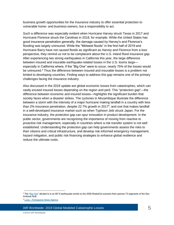business growth opportunities for the insurance industry to offer essential protection to vulnerable home- and business-owners, but a responsibility to act.

Such a difference was especially evident when Hurricane Harvey struck Texas in 2017 and Hurricane Florence struck the Carolinas in 2018, for example. While the United States has good insurance penetration generally, the damage caused by Harvey's and Florence's flooding was largely uninsured. While the "Midwest floods" in the first half of 2019 and Hurricane Barry have not caused floods as significant as Harvey and Florence from a loss perspective, they remind us not to be complacent about the U.S. inland flood insurance gap. After experiencing two strong earthquakes in California this year, the large difference between insured and insurable earthquake-related losses in the U.S. looms large especially in California where, if the "Big One" were to occur, nearly 75% of the losses would be uninsured.<sup>4</sup> Thus the difference between insured and insurable losses is a problem not limited to developing countries. Finding ways to address this gap remains one of the primary challenges facing the insurance industry.

Also discussed in the 2019 update are global economic losses from catastrophes, which can vastly exceed insured losses depending on the region and peril. This "protection gap"—the difference between economic and insured losses—highlights the significant burden that society faces when a disaster strikes. The cyclones in Mozambique illustrate the difference between a storm with the intensity of a major hurricane making landfall in a country with less than 2% insurance penetration, despite 22.7% growth in 2017<sup>5</sup>, and one that makes landfall in a well-developed insurance market such as when Typhoon Jebi struck Japan. For the insurance industry, the protection gap can spur innovation in product development. In the public sector, governments are recognizing the importance of moving from reactive to proactive risk management, especially in countries where a risk transfer system is not well established. Understanding the protection gap can help governments assess the risks to their citizens and critical infrastructure, and develop risk-informed emergency management, hazard mitigation, and public risk financing strategies to enhance global resilience and reduce the ultimate costs.

AIR Worldwide: 2019 Global Modeled Catastrophe Losses 5

<sup>&</sup>lt;sup>4</sup> The ["Big One"](http://www.air-worldwide.com/Publications/Infographics/Who-Will-Pay-for-the-Next-Great-California-Earthquake-/) alluded to is an M7.9 earthquake similar to the 2008 ShakeOut scenario that ruptures 73 segments of the San Andreas fault.

<sup>5</sup> Lusa – [Portuguese News Agency](https://clubofmozambique.com/news/mozambique-insurance-market-grew-22-7-in-2017/)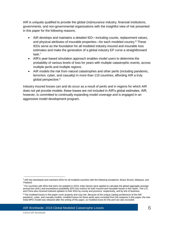AIR is uniquely qualified to provide the global (re)insurance industry, financial institutions, governments, and non-governmental organizations with the insightful view of risk presented in this paper for the following reasons:

- AIR develops and maintains a detailed IED—including counts, replacement values, and physical attributes of insurable properties—for each modeled country.<sup>6</sup> These IEDs serve as the foundation for all modeled industry insured and insurable loss estimates and make the generation of a global industry EP curve a straightforward task.<sup>7</sup>
- AIR's year-based simulation approach enables model users to determine the probability of various levels of loss for years with multiple catastrophic events, across multiple perils and multiple regions.
- AIR models the risk from natural catastrophes and other perils (including pandemic, terrorism, cyber, and casualty) in more than 110 countries, affording AIR a truly global perspective.<sup>8</sup>

Industry insured losses can and do occur as a result of perils and in regions for which AIR does not yet provide models; these losses are not included in AIR's global estimates. AIR, however, is committed to continually expanding model coverage and is engaged in an aggressive model development program.

<sup>&</sup>lt;sup>6</sup> AIR has developed and maintains IEDs for all modeled countries with the following exceptions: Brazil, Brunei, Malaysia, and Thailand.

 $7$  For countries with IEDs that were not updated in 2019, index factors were applied to calculate the global aggregate average annual loss (AAL) and exceedance probability (EP) loss metrics for both insured and insurable losses in this report. The U.S. and China also received indexed updates to their IEDs by county and province, respectively, and by line of business.

<sup>&</sup>lt;sup>8</sup> The modeled losses in this paper cover property and crop risk. Because of the unique catalog architecture of the AIR pandemic, cyber, and casualty models, modeled losses for these perils were excluded from the analyses in this paper; the new India MPCI model was released after the writing of this paper, so modeled loses for this peril are also excluded.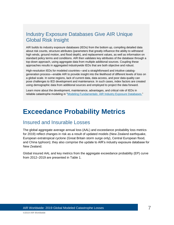## <span id="page-7-0"></span>Industry Exposure Databases Give AIR Unique Global Risk Insight

AIR builds its industry exposure databases (IEDs) from the bottom up, compiling detailed data about risk counts, structure attributes (parameters that greatly influence the ability to withstand high winds, ground motion, and flood depth), and replacement values, as well as information on standard policy terms and conditions. AIR then validates key attributes of the database through a top‐down approach, using aggregate data from multiple additional sources. Coupling these approaches results in aggregated industrywide IEDs that are both objective and robust.

High-resolution IEDs for modeled countries—and a straightforward and intuitive cataloggeneration process—enable AIR to provide insight into the likelihood of different levels of loss on a global scale. In some regions, lack of current data, data access, and poor data quality can pose challenges to IED development and maintenance. In such cases, index factors are created using demographic data from additional sources and employed to project the data forward.

Learn more about the development, maintenance, advantages, and critical role of IEDs in reliable catastrophe modeling in ["Modeling Fundamentals: AIR Industry Exposure Databases.](http://www.air-worldwide.com/Publications/AIR-Currents/2016/Modeling-Fundamentals--AIR-Industry-Exposure-Databases/)"

# <span id="page-7-1"></span>**Exceedance Probability Metrics**

### <span id="page-7-2"></span>Insured and Insurable Losses

The global aggregate average annual loss (AAL) and exceedance probability loss metrics for 2019) reflect changes in risk as a result of updated models (New Zealand earthquake, European extratropical cyclone (Great Britain storm surge only), Central European flood, and China typhoon); they also comprise the update to AIR's industry exposure database for New Zealand.

Global insured AAL and key metrics from the aggregate exceedance probability (EP) curve from 2012–2019 are presented in [Table 1.](#page-8-0)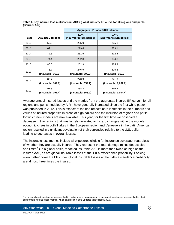|      |                            | <b>Aggregate EP Loss (USD Billions)</b> |                                  |  |  |
|------|----------------------------|-----------------------------------------|----------------------------------|--|--|
| Year | <b>AAL (USD Billions)</b>  | 1.0%<br>(100-year return period)        | 0.4%<br>(250-year return period) |  |  |
| 2012 | 59.3                       | 205.9                                   | 265.1                            |  |  |
| 2013 | 67.4                       | 219.4                                   | 289.1                            |  |  |
| 2014 | 72.6                       | 231.5                                   | 292.5                            |  |  |
| 2015 | 74.4                       | 232.8                                   | 304.8                            |  |  |
| 2016 | 80.0                       | 252.9                                   | 325.3                            |  |  |
| 2017 | 78.7<br>(Insurable: 167.2) | 246.9<br>(Insurable: 602.7)             | 325.3<br>(Insurable: 952.3)      |  |  |
| 2018 | 85.7<br>(Insurable: 181.8) | 270.9<br>(Insurable: 654.2)             | 341.9<br>(Insurable: 1,057.9)    |  |  |
| 2019 | 91.8<br>(Insurable: 191.4) | 288.2<br>(Insurable: 655.2)             | 366.2<br>(Insurable: 1,004.4)    |  |  |

<span id="page-8-0"></span>**Table 1. Key insured loss metrics from AIR's global industry EP curve for all regions and perils. (Source: AIR)**

Average annual insured losses and the metrics from the aggregate insured EP curve—for all regions and perils modeled by AIR—have generally increased since the first white paper was published in 2012. This is expected; the rise reflects both increases in the numbers and values of insured properties in areas of high hazard and the inclusion of regions and perils for which new models are now available. This year, for the first time we observed a decrease in two regions that was largely unrelated to hazard changes within the models: economic crises in both Turkey in the European region and Venezuela in the Latin America region resulted in significant devaluation of their currencies relative to the U.S. dollar, leading to decreases in overall losses.

The insurable loss metrics include all exposures eligible for insurance coverage, regardless of whether they are actually insured. They represent the total damage minus deductibles and limits. <sup>9</sup> On a global basis, modeled insurable AAL is more than twice as high as the insured AAL, as are global insurable losses at the 1.0% exceedance probability. Looking even further down the EP curve, global insurable losses at the 0.4% exceedance probability are almost three times the insured.

<sup>&</sup>lt;sup>9</sup> In cases where index factors were applied to derive insured loss metrics, those same index factors were applied to obtain comparable insurable loss metrics, which can result in take-up rates that exceed 100%.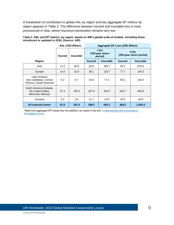A breakdown of contribution to global AAL by region and key aggregate EP metrics by region appears in [Table](#page-9-0) 2. The difference between insured and insurable loss is most pronounced in Asia, where insurance penetration remains very low.

|                                                                     | <b>AAL (USD Billion)</b> |           | <b>Aggregate EP Loss (USD Billion)</b> |                                     |                |                                  |  |
|---------------------------------------------------------------------|--------------------------|-----------|----------------------------------------|-------------------------------------|----------------|----------------------------------|--|
|                                                                     | <b>Insured</b>           | Insurable |                                        | 1.0%<br>(100-year return<br>period) |                | 0.4%<br>(250-year return period) |  |
| <b>Region</b>                                                       |                          |           | <b>Insured</b>                         | <b>Insurable</b>                    | <b>Insured</b> | <b>Insurable</b>                 |  |
| Asia                                                                | 12.0                     | 50.9      | 69.8                                   | 455.7                               | 95.2           | 878.9                            |  |
| Europe                                                              | 14.0                     | 22.0      | 58.1                                   | 110.7                               | 77.7           | 146.3                            |  |
| Latin America<br>(the Caribbean, Central<br>America, South America) | 5.2                      | 9.7       | 42.6                                   | 77.4                                | 58.2           | 104.4                            |  |
| North America (Canada,<br>the United States,<br>Bermuda, Mexico)    | 57.4                     | 105.3     | 237.9                                  | 354.0                               | 316.7          | 454.5                            |  |
| Oceania                                                             | 3.2                      | 3.6       | 21.7                                   | 23.9                                | 39.4           | 43.9                             |  |
| All exposed areas*                                                  | 91.8                     | 191.4     | 288.2                                  | 655.2                               | 366.2          | 1,004.4                          |  |

<span id="page-9-0"></span>**Table 2. AAL and EP metrics, by region, based on AIR's global suite of models, including those introduced or updated in 2018. (Source: AIR)**

\*Note that aggregate EP losses are not additive, as noted in the box ["Understanding the Exceedance](#page-12-0)  [Probability Curve.](#page-12-0)"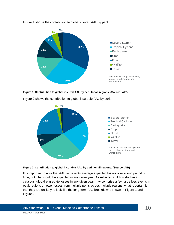

[Figure 1](#page-10-0) shows the contribution to global insured AAL by peril.

<span id="page-10-0"></span>



[Figure](#page-10-1) 2 shows the contribution to global insurable AAL by peril.

<span id="page-10-1"></span>

It is important to note that AAL represents average expected losses over a long period of time, not what would be expected in any given year. As reflected in AIR's stochastic catalogs, global aggregate losses in any given year may comprise a few large loss events in peak regions or lower losses from multiple perils across multiple regions; what is certain is that they are unlikely to look like the long-term AAL breakdowns shown in Figure 1 and Figure 2.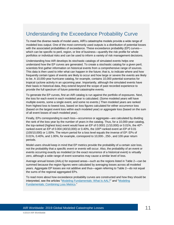## <span id="page-11-0"></span>Understanding the Exceedance Probability Curve

To meet the diverse needs of model users, AIR's catastrophe models provide a wide range of modeled loss output. One of the most commonly used outputs is a distribution of potential losses with the associated probabilities of exceedance. These exceedance probability (EP) curves which can be specific to peril, region, or line of business—quantify the risk profile for whole portfolios or individual risks and can be used to inform a variety of risk management decisions.

Understanding how AIR develops its stochastic catalogs of simulated events helps one understand how the EP curves are generated. To create a stochastic catalog for a given peril, scientists first gather information on historical events from a comprehensive range of sources. This data is then used to infer what can happen in the future; that is, to indicate where and how frequently certain types of events are likely to occur and how large or severe the events are likely to be. A 10,000-year hurricane catalog, for example, contains 10,000 potential scenarios for tropical cyclone activity in an upcoming year. Importantly, although the simulated events have their basis in historical data, they extend beyond the scope of past recorded experience to provide the full spectrum of future potential catastrophe events.

To generate the EP curves, first an AIR catalog is run against the portfolio of exposures. Next, the loss for each event in each modeled year is calculated. (Some modeled years will have multiple events, some a single event, and some no events.) Then modeled years are ranked from highest loss to lowest loss, based on loss figures calculated for either *occurrence* loss (based on the largest event loss within each modeled year) or *aggregate* loss (based on the sum of all event losses of each modeled year).

Finally, EPs corresponding to each loss—occurrence or aggregate—are calculated by dividing the rank of the loss year by the number of years in the catalog. Thus, for a 10,000-year catalog, the top-ranked (highest loss) event would have an EP of  $0.0001$  (1/10,000) or  $0.01\%$ , the  $40<sup>th</sup>$ ranked event an EP of  $0.004$  (40/10,000) or  $0.40\%$ , the  $100<sup>th</sup>$ -ranked event an EP of  $0.01$ (100/10,000) or 1.00%. The return period for a loss level equals the inverse of EP: EPs of 0.01%, 0.40%, and 1.00%, for example, correspond to 10,000-, 250-, and 100-year return periods.

Model users should keep in mind that EP metrics provide the probability of a certain *size* loss, not the probability that a specific *event* or *events* will occur. Also, the probability of an event or events occurring exactly as modeled (or the exact recurrence of a historical event) is virtually zero, although a wide range of event scenarios may cause a similar level of loss.

Average annual losses (AALs) for exposed areas—such as the regions listed in [Table 2—](#page-9-0)can be summed because the region figures were calculated by averaging losses across all modeled years. Aggregate EP losses are not additive and thus—again referring to [Table 2—](#page-9-0)do not equal the sums of the regional aggregated EPs.

To read more about how exceedance probability curves are constructed and how they should be interpreted, see the articles ["Modeling Fundamentals: What Is AAL?"](http://www.air-worldwide.com/Publications/AIR-Currents/2013/Modeling-Fundamentals--What-Is-AAL-/) and ["Modeling](http://www.air-worldwide.com/Publications/AIR-Currents/2012/Modeling-Fundamentals--Combining-Loss-Metrics/)  [Fundamentals: Combining Loss Metrics.](http://www.air-worldwide.com/Publications/AIR-Currents/2012/Modeling-Fundamentals--Combining-Loss-Metrics/)"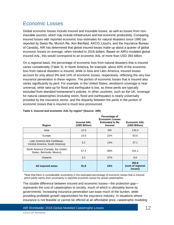# <span id="page-12-0"></span>Economic Losses

Global economic losses include insured and insurable losses, as well as losses from noninsurable sources, which may include infrastructure and lost economic productivity. Comparing insured losses with reported economic loss estimates for natural disasters since 1990 (as reported by Swiss Re, Munich Re, Aon Benfield, AXCO, Lloyd's, and the Insurance Bureau of Canada), AIR has determined that global insured losses make up about a quarter of global economic losses on average, when trended to 2018 dollars. Based on AIR's modeled global insured AAL, this would correspond to an economic AAL of more than USD 393 billion.

On a regional basis, the percentage of economic loss from natural disasters that is insured varies considerably [\(Table 3\)](#page-12-1). In North America, for example, about 40% of the economic loss from natural disasters is insured, while in Asia and Latin America, insured losses account for only about 9% and 14% of economic losses, respectively, reflecting the very low insurance penetration in these regions. The portion of economic losses that is insured also varies significantly by peril. For example, in the United States, windstorm coverage is near universal, while take-up for flood and earthquake is low, as these perils are typically excluded from standard homeowner's policies. In other countries, such as the UK, coverage for natural catastrophes (including storm, flood and earthquake) is nearly universally provided by the insurance sector, and the disparity between the perils in the portion of economic losses that is insured is much less pronounced.

| <b>Region</b>                                                    | <b>Insured AAL</b><br>(USD Billion) | Percentage of<br><b>Economic Losses</b><br><b>Estimated to Be</b><br><b>Insured</b> | <b>Economic AAL</b><br>(USD Billion) |
|------------------------------------------------------------------|-------------------------------------|-------------------------------------------------------------------------------------|--------------------------------------|
| Asia                                                             | 12.0                                | 9%                                                                                  | 133.3                                |
| Europe                                                           | 14.0                                | 22%                                                                                 | 63.6                                 |
| Latin America (the Caribbean,<br>Central America, South America) | 5.2                                 | 14%                                                                                 | 37.1                                 |
| North America (Canada, the United<br>States, Bermuda, Mexico)    | 57.4                                | 38%                                                                                 | 151.1                                |
| Oceania                                                          | 3.2                                 | 37%                                                                                 | 8.6                                  |
| All exposed areas                                                | 91.8                                | 24%                                                                                 | 393.8<br>(sum of regional<br>losses) |

### <span id="page-12-1"></span>**Table 3. Insured and economic AAL by region\* (Source: AIR)**

\*Note that there is considerable uncertainty in the estimated percentage of economic losses that is insured, which partly stems from uncertainty in reported economic losses for actual catastrophes.

The sizable difference between insured and economic losses—the protection gap represents the cost of catastrophes to society, much of which is ultimately borne by governments. Increasing insurance penetration can ease much of the burden, while providing profitable growth opportunities for the insurance industry. In situations where insurance is not feasible or cannot be offered at an affordable price, catastrophe modeling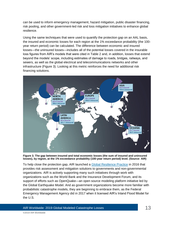can be used to inform emergency management, hazard mitigation, public disaster financing, risk pooling, and other government-led risk and loss mitigation initiatives to enhance global resilience.

Using the same techniques that were used to quantify the protection gap on an AAL basis, the insured and economic losses for each region at the 1% exceedance probability (the 100 year return period) can be calculated. The difference between economic and insured losses—the uninsured losses—includes all of the potential losses covered in the insurable loss figures from AIR's models that were cited in [Table 2](#page-9-0) and, in addition, losses that extend beyond the models' scope, including estimates of damage to roads, bridges, railways, and sewers, as well as the global electrical and telecommunications networks and other infrastructure [\(Figure 3\)](#page-13-0). Looking at this metric reinforces the need for additional risk financing solutions.



<span id="page-13-0"></span>**Figure 3. The gap between insured and total economic losses (the sum of insured and uninsured losses), by region, at the 1% exceedance probability (100-year return period) level. (Source: AIR)**

To help close the protection gap, AIR launched a [Global Resilience Practice](http://www.air-worldwide.com/Consulting-Services/Global-Resilience-Practice/) in 2016 that provides risk assessment and mitigation solutions to governments and non-governmental organizations. AIR is actively supporting many such initiatives through work with organizations such as the World Bank and the Insurance Development Forum, and its support of efforts such as OpenQuake—an open source modeling platform initiative led by the Global Earthquake Model. And as government organizations become more familiar with probabilistic catastrophe models, they are beginning to embrace them, as the Federal Emergency Management Agency did in 2017 when it licensed AIR's Inland Flood Model for the U.S.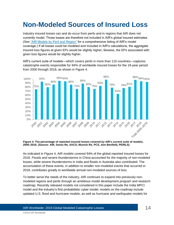# <span id="page-14-0"></span>**Non-Modeled Sources of Insured Loss**

Industry insured losses can and do occur from perils and in regions that AIR does not currently model. Those losses are therefore not included in AIR's global insured estimates. (See ["AIR Models by Peril](http://www.air-worldwide.com/publications/brochures/documents/air-models-by-peril-and-region) and Region" for a comprehensive listing of AIR's model coverage.) If all losses could be modeled and included in AIR's calculations, the aggregate insured loss figures at given EPs would be slightly higher; likewise, the EPs associated with given loss figures would be slightly higher.

AIR's current suite of models—which covers perils in more than 110 countries—captures catastrophe events responsible for 94% of worldwide insured losses for the 19-year period from 2000 through 2018, as shown in [Figure 4.](#page-14-1)



<span id="page-14-1"></span>**Figure 4. The percentage of reported insured losses covered by AIR's current suite of models, 2000–2016. (Source: AIR, Swiss Re, AXCO, Munich Re, PCS, Aon Benfield, PERILS)**

As indicated in [Figure 4,](#page-14-1) AIR models covered 94% of the global reported insured losses for 2018. Floods and severe thunderstorms in China accounted for the majority of non-modeled losses, while severe thunderstorms in India and floods in Australia also contributed. The accumulation of these events, in addition to smaller non-modeled events that occurred in 2018, contributes greatly to worldwide annual non-modeled sources of loss.

To better serve the needs of the industry, AIR continues to expand into previously nonmodeled regions and perils through an ambitious model development program and research roadmap. Recently released models not considered in this paper include the India MPCI model and the industry's first probabilistic cyber model; models on the roadmap include updated U.S. flood and hurricane models, as well as hurricane and earthquake models for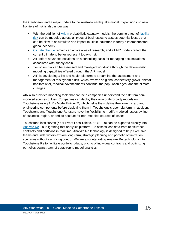the Caribbean, and a major update to the Australia earthquake model. Expansion into new frontiers of risk is also under way:

- With the addition of [Arium](http://www.air-worldwide.com/Software-Solutions/Arium/) probabilistic casualty models, the domino effect of liability [risk](http://www.air-worldwide.com/Models/Casualty/) can be modeled across all types of businesses to assess potential losses that can be slow to accumulate and impact multiple industries in today's interconnected global economy
- [Climate change](https://www.air-worldwide.com/publications/white-papers/documents/climate-change-impacts-on-extreme-weather) remains an active area of research, and all AIR models reflect the current climate to better represent today's risk
- AIR offers advanced solutions on a consulting basis for managing accumulations associated with supply chain
- Terrorism risk can be assessed and managed worldwide through the deterministic modeling capabilities offered through the AIR model
- AIR is developing a life and health platform to streamline the assessment and management of this dynamic risk, which evolves as global connectivity grows, animal habitats alter, medical advancements continue, the population ages, and the climate changes

AIR also provides modeling tools that can help companies understand the risk from nonmodeled sources of loss. Companies can deploy their own or third-party models on Touchstone using AIR's Model Builder™, which helps them define their own hazard and engineering components before deploying them in Touchstone's open platform. In addition, Touchstone and Touchstone Re users have the flexibility to modify modeled losses by line of business, region, or peril to account for non-modeled sources of losses.

Touchstone loss curves (Year Event Loss Tables, or YELTs) can be exported directly into [Analyze Re—](http://www.air-worldwide.com/Software-Solutions/Analyze-Re/)our lightning-fast analytics platform—to assess loss data from reinsurance contracts and portfolios in real time. Analyze Re technology is designed to help executive teams and underwriters explore long-term, strategic planning and portfolio optimization scenarios without sacrificing control. We are also integrating Analyze Re technology into Touchstone Re to facilitate portfolio rollups, pricing of individual contracts and optimizing portfolios downstream of catastrophe model analytics.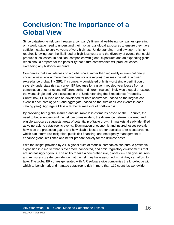# <span id="page-16-0"></span>**Conclusion: The Importance of a Global View**

Since catastrophe risk can threaten a company's financial well-being, companies operating on a world stage need to understand their risk *across* global exposures to ensure they have sufficient capital to survive years of very high loss. Understanding—and *owning*—this risk requires knowing both the likelihood of high-loss years and the diversity of events that could produce such losses. In addition, companies with global exposures and an expanding global reach should prepare for the possibility that future catastrophes will produce losses exceeding any historical amounts.

Companies that evaluate loss on a global scale, rather than regionally or even nationally, should always look at more than one peril (or one region) to assess the risk at a given exceedance probability (EP). If a company considered only its worst single peril, it could severely understate risk at a given EP because for a given modeled year losses from a combination of other events (different perils in different regions) likely would equal or exceed the worst single peril. As discussed in the "Understanding the Exceedance Probability Curve" box, EP curves can be developed for both occurrence (based on the largest loss event in each catalog year) and aggregate (based on the sum of all loss events in each catalog year). Aggregate EP is a far better measure of portfolio risk.

By providing both global insured and insurable loss estimates based on the EP curve, the need to better understand the risk becomes evident; the difference between covered and eligible exposures suggests areas of potential profitable growth in markets already identified as vulnerable to catastrophic events. Examination of economic and insured losses reveals how wide the protection gap is and how sizable losses are for societies after a catastrophe, which can inform risk mitigation, public risk financing, and emergency management to enhance global resilience and better prepare society for the ultimate costs.

With the insight provided by AIR's global suite of models, companies can pursue profitable expansion in a market that is ever more connected, and amid regulatory environments that are increasingly rigorous. The ability to take a comprehensive, global view can give insurers and reinsurers greater confidence that the risk they have assumed is risk they can afford to take. The global EP curves generated with AIR software give companies the knowledge with which to benchmark and manage catastrophe risk in more than 110 countries worldwide.